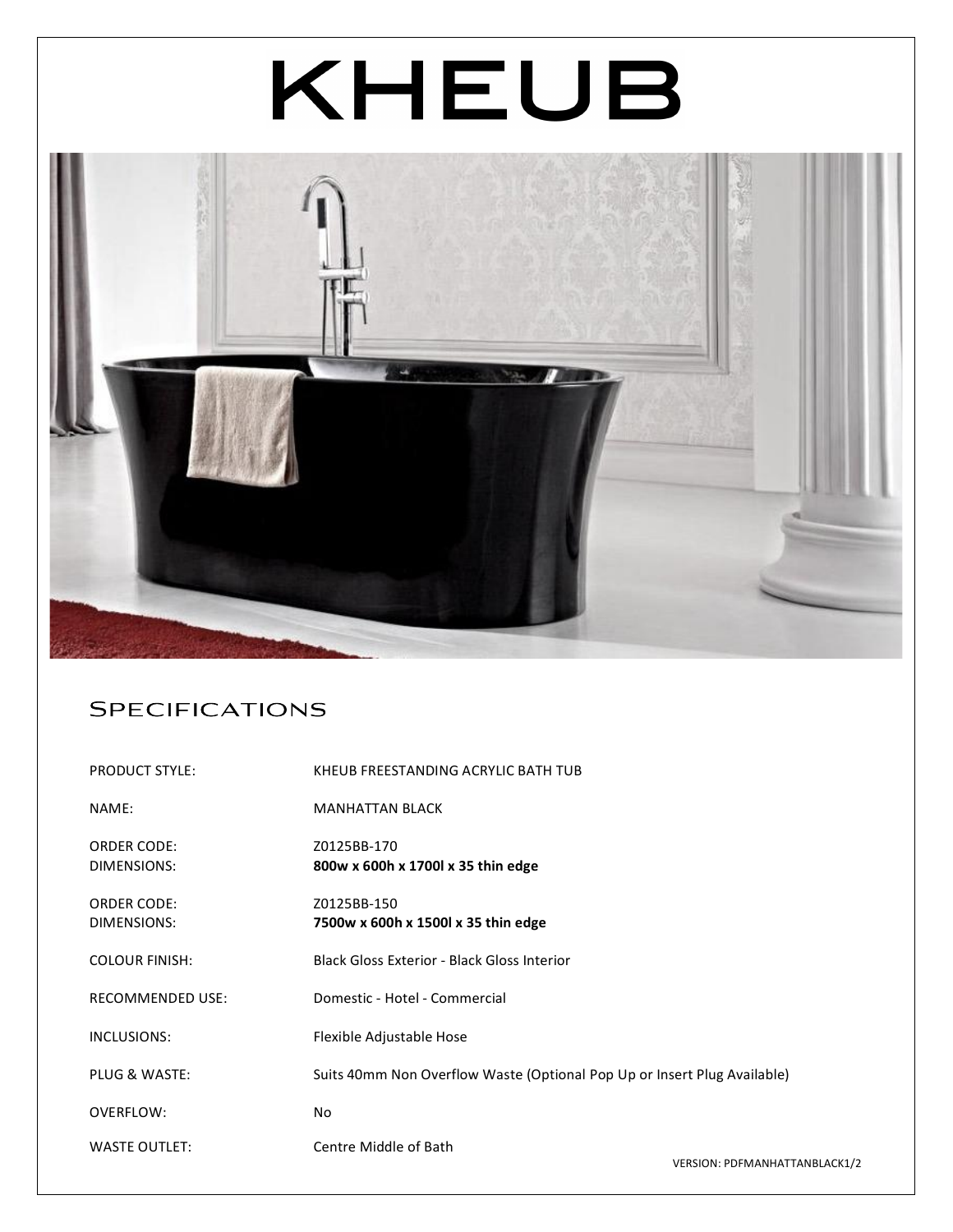# KHEUB



## **SPECIFICATIONS**

| <b>PRODUCT STYLE:</b>             | KHEUB FREESTANDING ACRYLIC BATH TUB                                      |  |
|-----------------------------------|--------------------------------------------------------------------------|--|
| NAME:                             | <b>MANHATTAN BLACK</b>                                                   |  |
| <b>ORDER CODE:</b><br>DIMENSIONS: | Z0125BB-170<br>800w x 600h x 1700l x 35 thin edge                        |  |
| <b>ORDER CODE:</b><br>DIMENSIONS: | Z0125BB-150<br>7500w x 600h x 1500l x 35 thin edge                       |  |
| <b>COLOUR FINISH:</b>             | <b>Black Gloss Exterior - Black Gloss Interior</b>                       |  |
| <b>RECOMMENDED USE:</b>           | Domestic - Hotel - Commercial                                            |  |
| INCLUSIONS:                       | Flexible Adjustable Hose                                                 |  |
| PLUG & WASTE:                     | Suits 40mm Non Overflow Waste (Optional Pop Up or Insert Plug Available) |  |
| OVERFLOW:                         | No.                                                                      |  |
| <b>WASTE OUTLET:</b>              | Centre Middle of Bath<br>VERSION: PDFMANHATTANBLACK1/2                   |  |